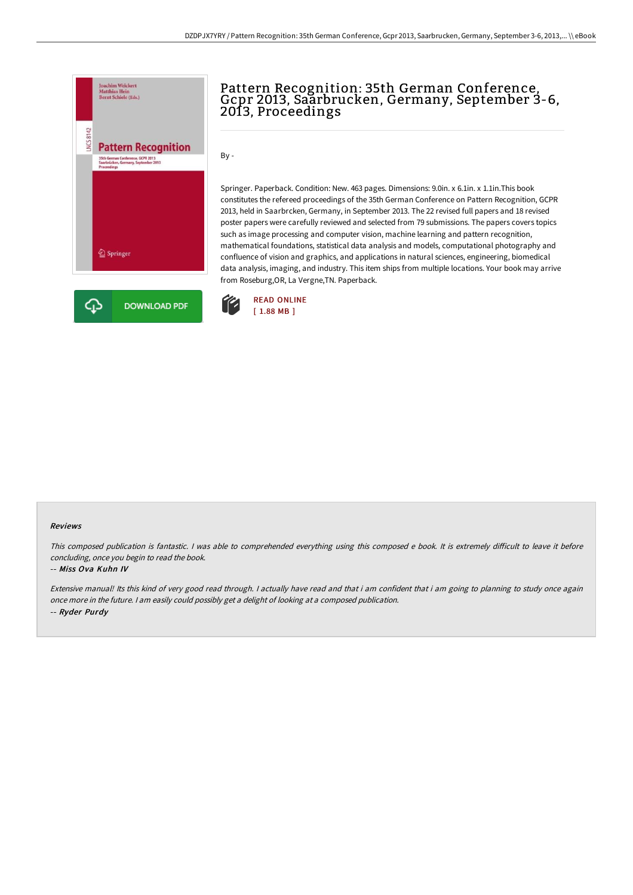

# Pattern Recognition: 35th German Conference,<br>Gcpr 2013, Saarbrucken, Germany, September 3-6, 2013, Proceedings

By -

Springer. Paperback. Condition: New. 463 pages. Dimensions: 9.0in. x 6.1in. x 1.1in.This book constitutes the refereed proceedings of the 35th German Conference on Pattern Recognition, GCPR 2013, held in Saarbrcken, Germany, in September 2013. The 22 revised full papers and 18 revised poster papers were carefully reviewed and selected from 79 submissions. The papers covers topics such as image processing and computer vision, machine learning and pattern recognition, mathematical foundations, statistical data analysis and models, computational photography and confluence of vision and graphics, and applications in natural sciences, engineering, biomedical data analysis, imaging, and industry. This item ships from multiple locations. Your book may arrive from Roseburg,OR, La Vergne,TN. Paperback.



#### Reviews

This composed publication is fantastic. I was able to comprehended everything using this composed e book. It is extremely difficult to leave it before concluding, once you begin to read the book.

#### -- Miss Ova Kuhn IV

Extensive manual! Its this kind of very good read through. I actually have read and that i am confident that i am going to planning to study once again once more in the future. <sup>I</sup> am easily could possibly get <sup>a</sup> delight of looking at <sup>a</sup> composed publication. -- Ryder Purdy